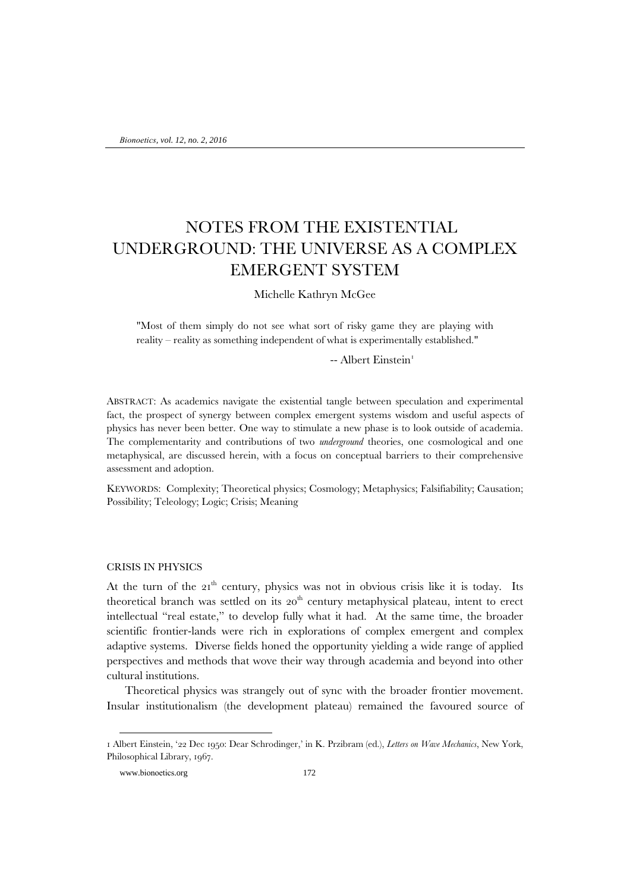# NOTES FROM THE EXISTENTIAL UNDERGROUND: THE UNIVERSE AS A COMPLEX EMERGENT SYSTEM

# Michelle Kathryn McGee

"Most of them simply do not see what sort of risky game they are playing with reality – reality as something independent of what is experimentally established."

 $-$  Albert Einstein<sup>[1](#page-0-0)</sup>

ABSTRACT: As academics navigate the existential tangle between speculation and experimental fact, the prospect of synergy between complex emergent systems wisdom and useful aspects of physics has never been better. One way to stimulate a new phase is to look outside of academia. The complementarity and contributions of two *underground* theories, one cosmological and one metaphysical, are discussed herein, with a focus on conceptual barriers to their comprehensive assessment and adoption.

KEYWORDS: Complexity; Theoretical physics; Cosmology; Metaphysics; Falsifiability; Causation; Possibility; Teleology; Logic; Crisis; Meaning

# CRISIS IN PHYSICS

At the turn of the  $21<sup>th</sup>$  century, physics was not in obvious crisis like it is today. Its theoretical branch was settled on its  $20<sup>th</sup>$  century metaphysical plateau, intent to erect intellectual "real estate," to develop fully what it had. At the same time, the broader scientific frontier-lands were rich in explorations of complex emergent and complex adaptive systems. Diverse fields honed the opportunity yielding a wide range of applied perspectives and methods that wove their way through academia and beyond into other cultural institutions.

Theoretical physics was strangely out of sync with the broader frontier movement. Insular institutionalism (the development plateau) remained the favoured source of

<span id="page-0-0"></span><sup>1</sup> Albert Einstein, '22 Dec 1950: Dear Schrodinger,' in K. Przibram (ed.), *Letters on Wave Mechanics*, New York, Philosophical Library, 1967.

www.bionoetics.org 172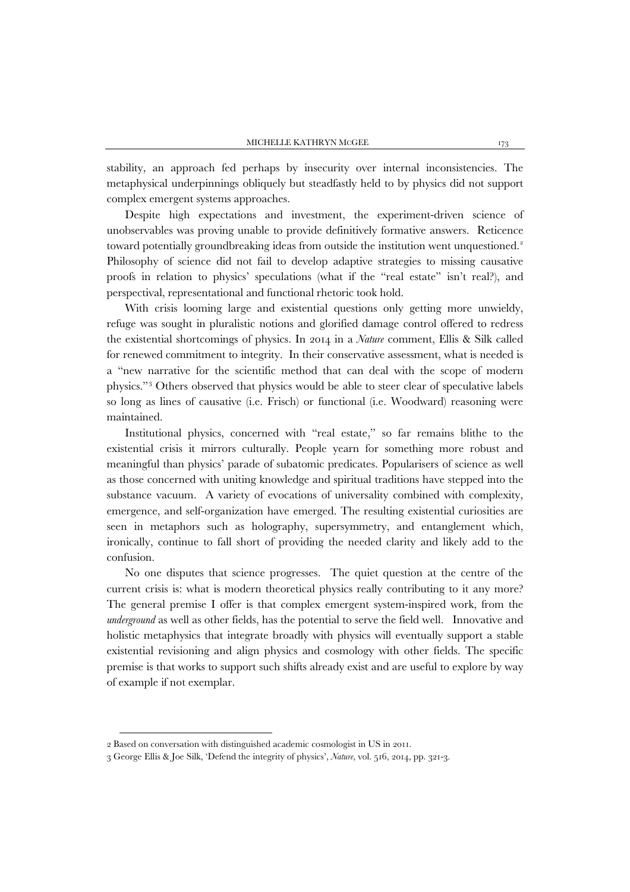stability, an approach fed perhaps by insecurity over internal inconsistencies. The metaphysical underpinnings obliquely but steadfastly held to by physics did not support complex emergent systems approaches.

Despite high expectations and investment, the experiment-driven science of unobservables was proving unable to provide definitively formative answers. Reticence toward potentially groundbreaking ideas from outside the institution went unquestioned.<sup>[2](#page-1-0)</sup> Philosophy of science did not fail to develop adaptive strategies to missing causative proofs in relation to physics' speculations (what if the "real estate" isn't real?), and perspectival, representational and functional rhetoric took hold.

With crisis looming large and existential questions only getting more unwieldy, refuge was sought in pluralistic notions and glorified damage control offered to redress the existential shortcomings of physics. In 2014 in a *Nature* comment, Ellis & Silk called for renewed commitment to integrity. In their conservative assessment, what is needed is a "new narrative for the scientific method that can deal with the scope of modern physics."[3](#page-1-1) Others observed that physics would be able to steer clear of speculative labels so long as lines of causative (i.e. Frisch) or functional (i.e. Woodward) reasoning were maintained.

Institutional physics, concerned with "real estate," so far remains blithe to the existential crisis it mirrors culturally. People yearn for something more robust and meaningful than physics' parade of subatomic predicates. Popularisers of science as well as those concerned with uniting knowledge and spiritual traditions have stepped into the substance vacuum. A variety of evocations of universality combined with complexity, emergence, and self-organization have emerged. The resulting existential curiosities are seen in metaphors such as holography, supersymmetry, and entanglement which, ironically, continue to fall short of providing the needed clarity and likely add to the confusion.

No one disputes that science progresses. The quiet question at the centre of the current crisis is: what is modern theoretical physics really contributing to it any more? The general premise I offer is that complex emergent system-inspired work, from the *underground* as well as other fields, has the potential to serve the field well. Innovative and holistic metaphysics that integrate broadly with physics will eventually support a stable existential revisioning and align physics and cosmology with other fields. The specific premise is that works to support such shifts already exist and are useful to explore by way of example if not exemplar.

j

<span id="page-1-0"></span><sup>2</sup> Based on conversation with distinguished academic cosmologist in US in 2011.

<span id="page-1-1"></span><sup>3</sup> George Ellis & Joe Silk, 'Defend the integrity of physics', *Nature*, vol. 516, 2014, pp. 321-3.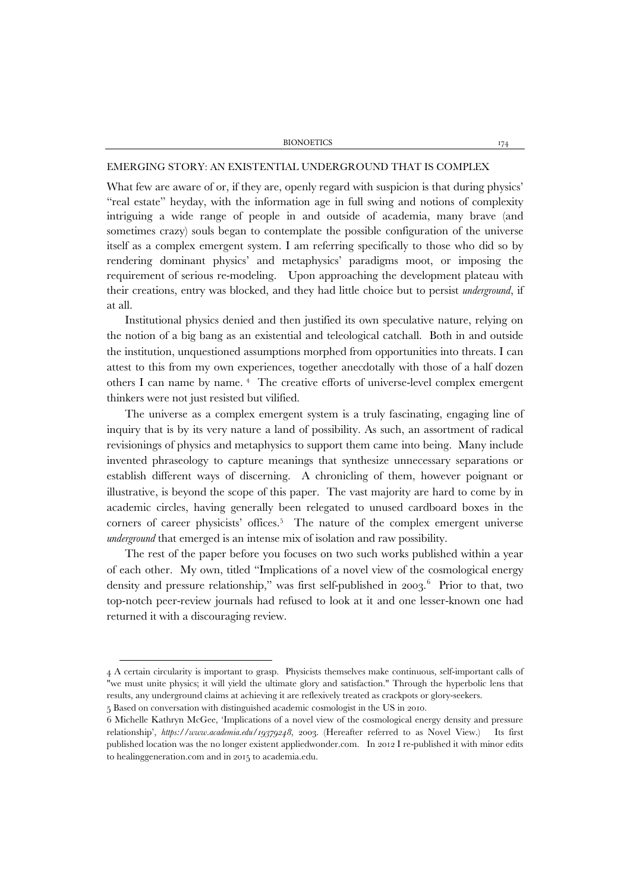# EMERGING STORY: AN EXISTENTIAL UNDERGROUND THAT IS COMPLEX

What few are aware of or, if they are, openly regard with suspicion is that during physics' "real estate" heyday, with the information age in full swing and notions of complexity intriguing a wide range of people in and outside of academia, many brave (and sometimes crazy) souls began to contemplate the possible configuration of the universe itself as a complex emergent system. I am referring specifically to those who did so by rendering dominant physics' and metaphysics' paradigms moot, or imposing the requirement of serious re-modeling. Upon approaching the development plateau with their creations, entry was blocked, and they had little choice but to persist *underground*, if at all.

Institutional physics denied and then justified its own speculative nature, relying on the notion of a big bang as an existential and teleological catchall. Both in and outside the institution, unquestioned assumptions morphed from opportunities into threats. I can attest to this from my own experiences, together anecdotally with those of a half dozen others I can name by name. [4](#page-2-0) The creative efforts of universe-level complex emergent thinkers were not just resisted but vilified.

The universe as a complex emergent system is a truly fascinating, engaging line of inquiry that is by its very nature a land of possibility. As such, an assortment of radical revisionings of physics and metaphysics to support them came into being. Many include invented phraseology to capture meanings that synthesize unnecessary separations or establish different ways of discerning. A chronicling of them, however poignant or illustrative, is beyond the scope of this paper. The vast majority are hard to come by in academic circles, having generally been relegated to unused cardboard boxes in the corners of career physicists' offices.[5](#page-2-1) The nature of the complex emergent universe *underground* that emerged is an intense mix of isolation and raw possibility.

The rest of the paper before you focuses on two such works published within a year of each other. My own, titled "Implications of a novel view of the cosmological energy density and pressure relationship," was first self-published in 2003.<sup>[6](#page-2-2)</sup> Prior to that, two top-notch peer-review journals had refused to look at it and one lesser-known one had returned it with a discouraging review.

<span id="page-2-0"></span><sup>4</sup> A certain circularity is important to grasp. Physicists themselves make continuous, self-important calls of "we must unite physics; it will yield the ultimate glory and satisfaction." Through the hyperbolic lens that results, any underground claims at achieving it are reflexively treated as crackpots or glory-seekers.

<span id="page-2-1"></span><sup>5</sup> Based on conversation with distinguished academic cosmologist in the US in 2010.

<span id="page-2-2"></span><sup>6</sup> Michelle Kathryn McGee, 'Implications of a novel view of the cosmological energy density and pressure relationship', *https://www.academia.edu/19379248*, 2003. (Hereafter referred to as Novel View.) Its first published location was the no longer existent appliedwonder.com. In 2012 I re-published it with minor edits to healinggeneration.com and in 2015 to academia.edu.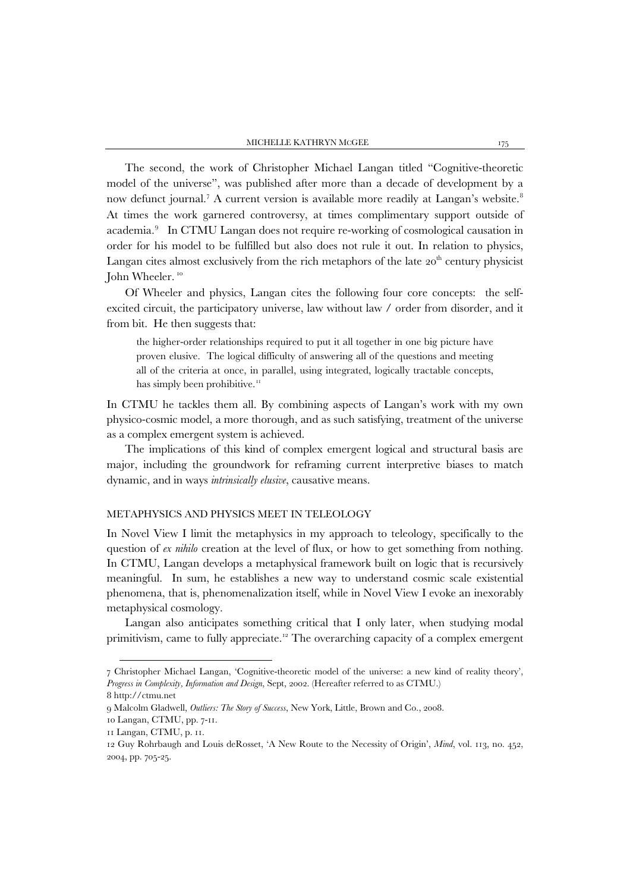The second, the work of Christopher Michael Langan titled "Cognitive-theoretic model of the universe", was published after more than a decade of development by a now defunct journal.<sup>[7](#page-3-0)</sup> A current version is available more readily at Langan's website.<sup>[8](#page-3-1)</sup> At times the work garnered controversy, at times complimentary support outside of academia.[9](#page-3-2) In CTMU Langan does not require re-working of cosmological causation in order for his model to be fulfilled but also does not rule it out. In relation to physics, Langan cites almost exclusively from the rich metaphors of the late  $20<sup>th</sup>$  century physicist John Wheeler.<sup>[10](#page-3-3)</sup>

Of Wheeler and physics, Langan cites the following four core concepts: the selfexcited circuit, the participatory universe, law without law / order from disorder, and it from bit. He then suggests that:

the higher-order relationships required to put it all together in one big picture have proven elusive. The logical difficulty of answering all of the questions and meeting all of the criteria at once, in parallel, using integrated, logically tractable concepts, has simply been prohibitive.<sup>[11](#page-3-4)</sup>

In CTMU he tackles them all. By combining aspects of Langan's work with my own physico-cosmic model, a more thorough, and as such satisfying, treatment of the universe as a complex emergent system is achieved.

The implications of this kind of complex emergent logical and structural basis are major, including the groundwork for reframing current interpretive biases to match dynamic, and in ways *intrinsically elusive*, causative means.

## METAPHYSICS AND PHYSICS MEET IN TELEOLOGY

In Novel View I limit the metaphysics in my approach to teleology, specifically to the question of *ex nihilo* creation at the level of flux, or how to get something from nothing. In CTMU, Langan develops a metaphysical framework built on logic that is recursively meaningful. In sum, he establishes a new way to understand cosmic scale existential phenomena, that is, phenomenalization itself, while in Novel View I evoke an inexorably metaphysical cosmology.

Langan also anticipates something critical that I only later, when studying modal primitivism, came to fully appreciate.<sup>[12](#page-3-5)</sup> The overarching capacity of a complex emergent

-

<span id="page-3-0"></span><sup>7</sup> Christopher Michael Langan, 'Cognitive-theoretic model of the universe: a new kind of reality theory', *Progress in Complexity, Information and Design*, Sept, 2002. (Hereafter referred to as CTMU.)

<span id="page-3-1"></span><sup>8</sup> http://ctmu.net

<span id="page-3-3"></span><span id="page-3-2"></span><sup>9</sup> Malcolm Gladwell, *Outliers: The Story of Success*, New York, Little, Brown and Co., 2008.

<sup>10</sup> Langan, CTMU, pp. 7-11.

<span id="page-3-4"></span><sup>11</sup> Langan, CTMU, p. 11.

<span id="page-3-5"></span><sup>12</sup> Guy Rohrbaugh and Louis deRosset, 'A New Route to the Necessity of Origin', *Mind*, vol. 113, no. 452, 2004, pp. 705-25.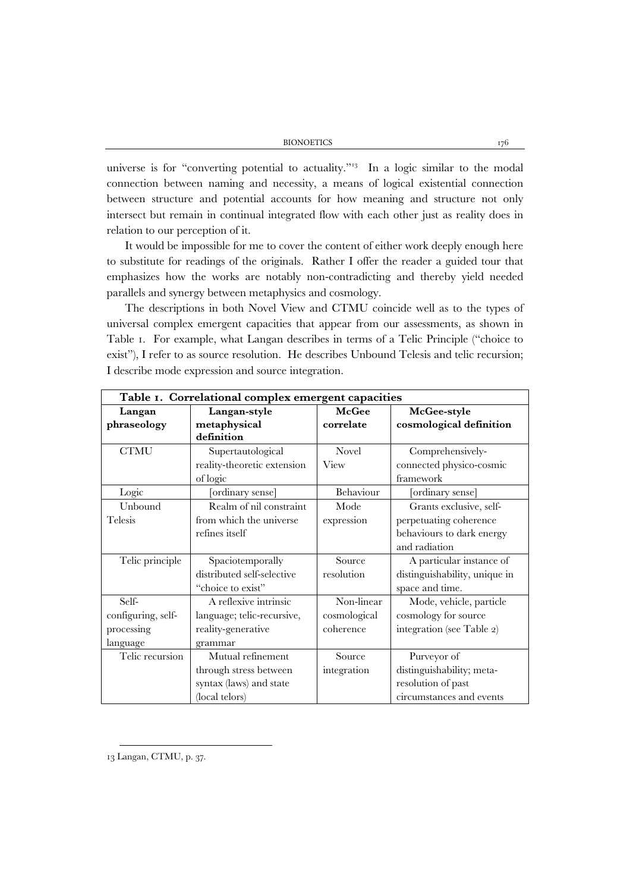universe is for "converting potential to actuality."<sup>13</sup> In a logic similar to the modal connection between naming and necessity, a means of logical existential connection between structure and potential accounts for how meaning and structure not only intersect but remain in continual integrated flow with each other just as reality does in relation to our perception of it.

It would be impossible for me to cover the content of either work deeply enough here to substitute for readings of the originals. Rather I offer the reader a guided tour that emphasizes how the works are notably non-contradicting and thereby yield needed parallels and synergy between metaphysics and cosmology.

The descriptions in both Novel View and CTMU coincide well as to the types of universal complex emergent capacities that appear from our assessments, as shown in Table 1. For example, what Langan describes in terms of a Telic Principle ("choice to exist"), I refer to as source resolution. He describes Unbound Telesis and telic recursion; I describe mode expression and source integration.

| Table 1. Correlational complex emergent capacities |                             |              |                               |
|----------------------------------------------------|-----------------------------|--------------|-------------------------------|
| Langan                                             | Langan-style                | McGee        | McGee-style                   |
| phraseology                                        | metaphysical                | correlate    | cosmological definition       |
|                                                    | definition                  |              |                               |
| <b>CTMU</b>                                        | Supertautological           | <b>Novel</b> | Comprehensively-              |
|                                                    | reality-theoretic extension | View         | connected physico-cosmic      |
|                                                    | of logic                    |              | framework                     |
| Logic                                              | [ordinary sense]            | Behaviour    | [ordinary sense]              |
| Unbound                                            | Realm of nil constraint     | Mode         | Grants exclusive, self-       |
| Telesis                                            | from which the universe     | expression   | perpetuating coherence        |
|                                                    | refines itself              |              | behaviours to dark energy     |
|                                                    |                             |              | and radiation                 |
| Telic principle                                    | Spaciotemporally            | Source       | A particular instance of      |
|                                                    | distributed self-selective  | resolution   | distinguishability, unique in |
|                                                    | "choice to exist"           |              | space and time.               |
| Self-                                              | A reflexive intrinsic       | Non-linear   | Mode, vehicle, particle       |
| configuring, self-                                 | language; telic-recursive,  | cosmological | cosmology for source          |
| processing                                         | reality-generative          | coherence    | integration (see Table 2)     |
| language                                           | grammar                     |              |                               |
| Telic recursion                                    | Mutual refinement           | Source       | Purveyor of                   |
|                                                    | through stress between      | integration  | distinguishability; meta-     |
|                                                    | syntax (laws) and state     |              | resolution of past            |
|                                                    | (local telors)              |              | circumstances and events      |

<span id="page-4-0"></span>13 Langan, CTMU, p. 37.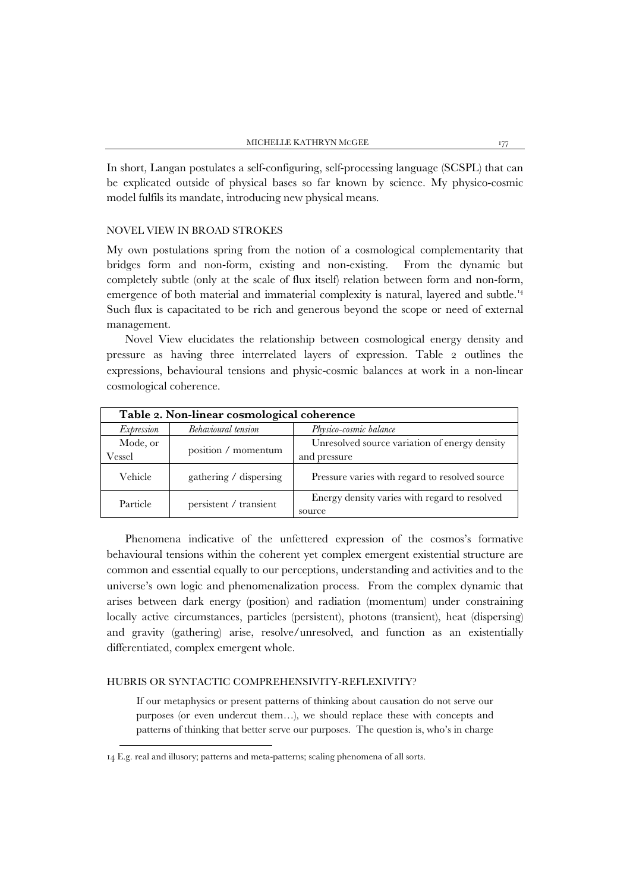In short, Langan postulates a self-configuring, self-processing language (SCSPL) that can be explicated outside of physical bases so far known by science. My physico-cosmic model fulfils its mandate, introducing new physical means.

#### NOVEL VIEW IN BROAD STROKES

My own postulations spring from the notion of a cosmological complementarity that bridges form and non-form, existing and non-existing. From the dynamic but completely subtle (only at the scale of flux itself) relation between form and non-form, emergence of both material and immaterial complexity is natural, layered and subtle.<sup>[14](#page-5-0)</sup> Such flux is capacitated to be rich and generous beyond the scope or need of external management.

Novel View elucidates the relationship between cosmological energy density and pressure as having three interrelated layers of expression. Table 2 outlines the expressions, behavioural tensions and physic-cosmic balances at work in a non-linear cosmological coherence.

| Table 2. Non-linear cosmological coherence |                        |                                                         |  |
|--------------------------------------------|------------------------|---------------------------------------------------------|--|
| <i>Expression</i>                          | Behavioural tension    | Physico-cosmic balance                                  |  |
| Mode, or                                   |                        | Unresolved source variation of energy density           |  |
| Vessel                                     | position / momentum    | and pressure                                            |  |
| Vehicle                                    | gathering / dispersing | Pressure varies with regard to resolved source          |  |
| Particle                                   | persistent / transient | Energy density varies with regard to resolved<br>source |  |

Phenomena indicative of the unfettered expression of the cosmos's formative behavioural tensions within the coherent yet complex emergent existential structure are common and essential equally to our perceptions, understanding and activities and to the universe's own logic and phenomenalization process. From the complex dynamic that arises between dark energy (position) and radiation (momentum) under constraining locally active circumstances, particles (persistent), photons (transient), heat (dispersing) and gravity (gathering) arise, resolve/unresolved, and function as an existentially differentiated, complex emergent whole.

#### HUBRIS OR SYNTACTIC COMPREHENSIVITY-REFLEXIVITY?

If our metaphysics or present patterns of thinking about causation do not serve our purposes (or even undercut them…), we should replace these with concepts and patterns of thinking that better serve our purposes. The question is, who's in charge

-

<span id="page-5-0"></span><sup>14</sup> E.g. real and illusory; patterns and meta-patterns; scaling phenomena of all sorts.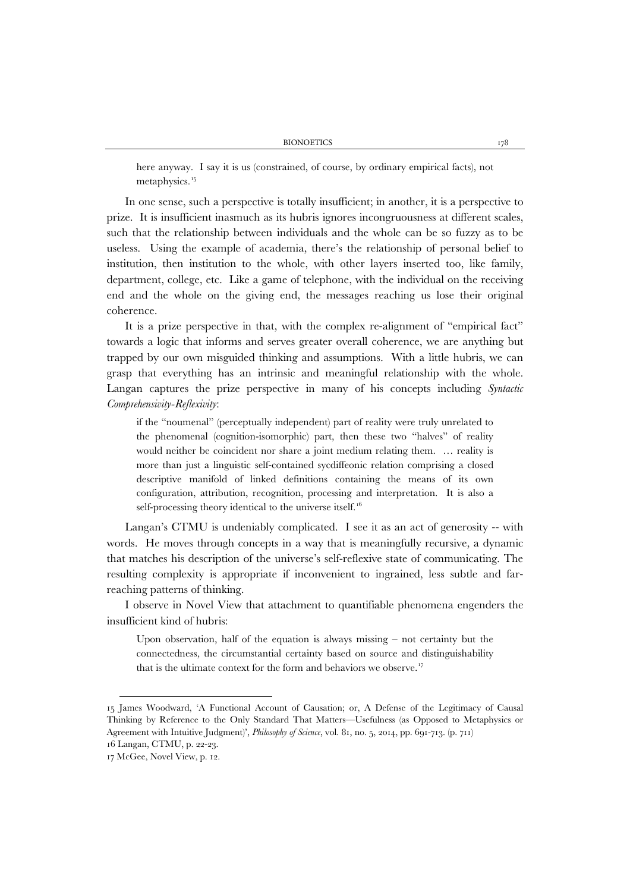here anyway. I say it is us (constrained, of course, by ordinary empirical facts), not metaphysics.<sup>[15](#page-6-0)</sup>

In one sense, such a perspective is totally insufficient; in another, it is a perspective to prize. It is insufficient inasmuch as its hubris ignores incongruousness at different scales, such that the relationship between individuals and the whole can be so fuzzy as to be useless. Using the example of academia, there's the relationship of personal belief to institution, then institution to the whole, with other layers inserted too, like family, department, college, etc. Like a game of telephone, with the individual on the receiving end and the whole on the giving end, the messages reaching us lose their original coherence.

It is a prize perspective in that, with the complex re-alignment of "empirical fact" towards a logic that informs and serves greater overall coherence, we are anything but trapped by our own misguided thinking and assumptions. With a little hubris, we can grasp that everything has an intrinsic and meaningful relationship with the whole. Langan captures the prize perspective in many of his concepts including *Syntactic Comprehensivity-Reflexivity*:

if the "noumenal" (perceptually independent) part of reality were truly unrelated to the phenomenal (cognition-isomorphic) part, then these two "halves" of reality would neither be coincident nor share a joint medium relating them. … reality is more than just a linguistic self-contained sycdiffeonic relation comprising a closed descriptive manifold of linked definitions containing the means of its own configuration, attribution, recognition, processing and interpretation. It is also a self-processing theory identical to the universe itself.<sup>16</sup>

Langan's CTMU is undeniably complicated. I see it as an act of generosity -- with words. He moves through concepts in a way that is meaningfully recursive, a dynamic that matches his description of the universe's self-reflexive state of communicating. The resulting complexity is appropriate if inconvenient to ingrained, less subtle and farreaching patterns of thinking.

I observe in Novel View that attachment to quantifiable phenomena engenders the insufficient kind of hubris:

Upon observation, half of the equation is always missing – not certainty but the connectedness, the circumstantial certainty based on source and distinguishability that is the ultimate context for the form and behaviors we observe.<sup>17</sup>

<span id="page-6-0"></span><sup>15</sup> James Woodward, 'A Functional Account of Causation; or, A Defense of the Legitimacy of Causal Thinking by Reference to the Only Standard That Matters—Usefulness (as Opposed to Metaphysics or Agreement with Intuitive Judgment)', *Philosophy of Science*, vol. 81, no. 5, 2014, pp. 691-713. (p. 711)

<span id="page-6-1"></span><sup>16</sup> Langan, CTMU, p. 22-23.

<span id="page-6-2"></span><sup>17</sup> McGee, Novel View, p. 12.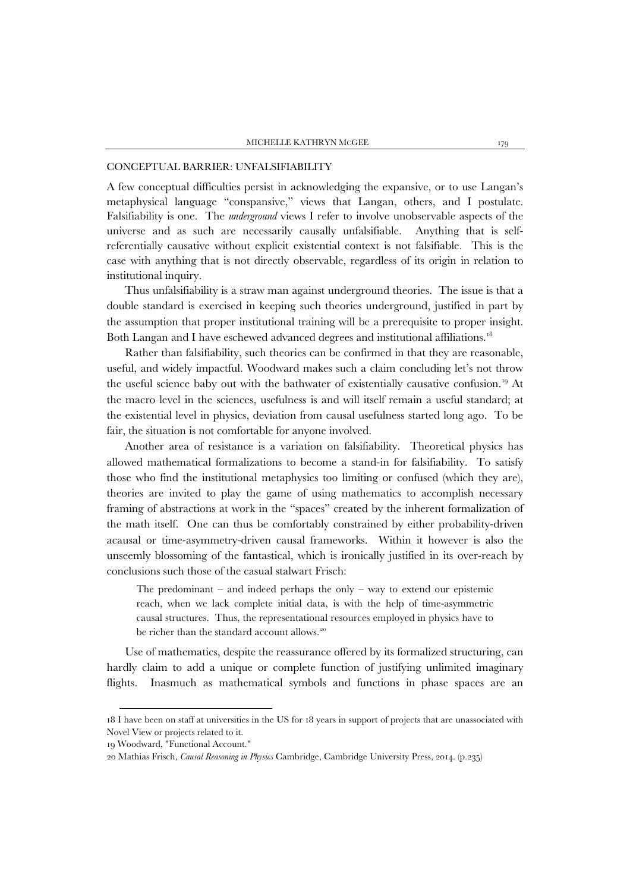# CONCEPTUAL BARRIER: UNFALSIFIABILITY

A few conceptual difficulties persist in acknowledging the expansive, or to use Langan's metaphysical language "conspansive," views that Langan, others, and I postulate. Falsifiability is one. The *underground* views I refer to involve unobservable aspects of the universe and as such are necessarily causally unfalsifiable. Anything that is selfreferentially causative without explicit existential context is not falsifiable. This is the case with anything that is not directly observable, regardless of its origin in relation to institutional inquiry.

Thus unfalsifiability is a straw man against underground theories. The issue is that a double standard is exercised in keeping such theories underground, justified in part by the assumption that proper institutional training will be a prerequisite to proper insight. Both Langan and I have eschewed advanced degrees and institutional affiliations.<sup>18</sup>

Rather than falsifiability, such theories can be confirmed in that they are reasonable, useful, and widely impactful. Woodward makes such a claim concluding let's not throw the useful science baby out with the bathwater of existentially causative confusion.[19](#page-7-1) At the macro level in the sciences, usefulness is and will itself remain a useful standard; at the existential level in physics, deviation from causal usefulness started long ago. To be fair, the situation is not comfortable for anyone involved.

Another area of resistance is a variation on falsifiability. Theoretical physics has allowed mathematical formalizations to become a stand-in for falsifiability. To satisfy those who find the institutional metaphysics too limiting or confused (which they are), theories are invited to play the game of using mathematics to accomplish necessary framing of abstractions at work in the "spaces" created by the inherent formalization of the math itself. One can thus be comfortably constrained by either probability-driven acausal or time-asymmetry-driven causal frameworks. Within it however is also the unseemly blossoming of the fantastical, which is ironically justified in its over-reach by conclusions such those of the casual stalwart Frisch:

The predominant – and indeed perhaps the only – way to extend our epistemic reach, when we lack complete initial data, is with the help of time-asymmetric causal structures. Thus, the representational resources employed in physics have to be richer than the standard account allows.<sup>[20](#page-7-2)</sup>

Use of mathematics, despite the reassurance offered by its formalized structuring, can hardly claim to add a unique or complete function of justifying unlimited imaginary flights. Inasmuch as mathematical symbols and functions in phase spaces are an

-

<span id="page-7-0"></span><sup>18</sup> I have been on staff at universities in the US for 18 years in support of projects that are unassociated with Novel View or projects related to it.

<sup>19</sup> Woodward, "Functional Account."

<span id="page-7-2"></span><span id="page-7-1"></span><sup>20</sup> Mathias Frisch, *Causal Reasoning in Physics* Cambridge, Cambridge University Press, 2014. (p.235)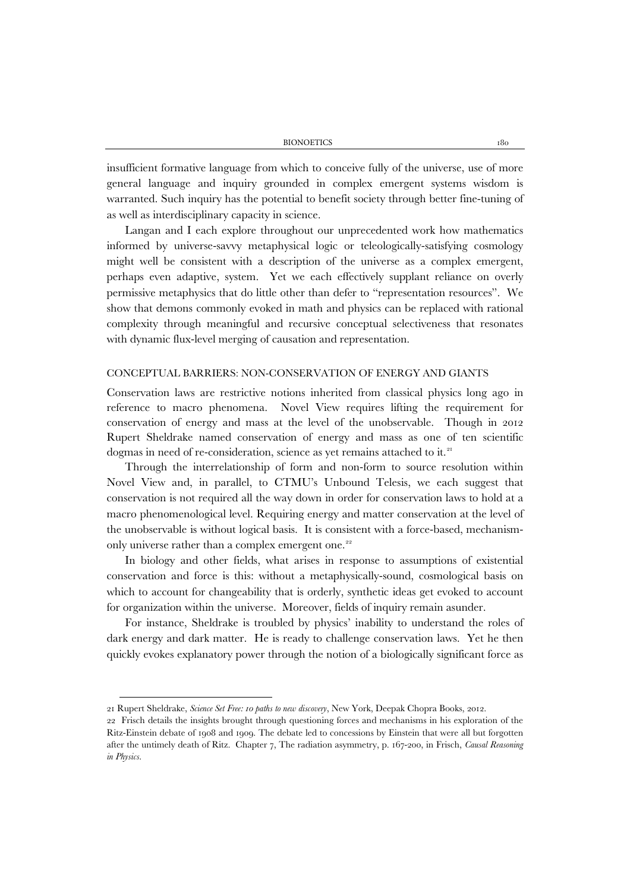insufficient formative language from which to conceive fully of the universe, use of more general language and inquiry grounded in complex emergent systems wisdom is warranted. Such inquiry has the potential to benefit society through better fine-tuning of as well as interdisciplinary capacity in science.

Langan and I each explore throughout our unprecedented work how mathematics informed by universe-savvy metaphysical logic or teleologically-satisfying cosmology might well be consistent with a description of the universe as a complex emergent, perhaps even adaptive, system. Yet we each effectively supplant reliance on overly permissive metaphysics that do little other than defer to "representation resources". We show that demons commonly evoked in math and physics can be replaced with rational complexity through meaningful and recursive conceptual selectiveness that resonates with dynamic flux-level merging of causation and representation.

#### CONCEPTUAL BARRIERS: NON-CONSERVATION OF ENERGY AND GIANTS

Conservation laws are restrictive notions inherited from classical physics long ago in reference to macro phenomena. Novel View requires lifting the requirement for conservation of energy and mass at the level of the unobservable. Though in 2012 Rupert Sheldrake named conservation of energy and mass as one of ten scientific dogmas in need of re-consideration, science as yet remains attached to it.<sup>[21](#page-8-0)</sup>

Through the interrelationship of form and non-form to source resolution within Novel View and, in parallel, to CTMU's Unbound Telesis, we each suggest that conservation is not required all the way down in order for conservation laws to hold at a macro phenomenological level. Requiring energy and matter conservation at the level of the unobservable is without logical basis. It is consistent with a force-based, mechanismonly universe rather than a complex emergent one.<sup>22</sup>

In biology and other fields, what arises in response to assumptions of existential conservation and force is this: without a metaphysically-sound, cosmological basis on which to account for changeability that is orderly, synthetic ideas get evoked to account for organization within the universe. Moreover, fields of inquiry remain asunder.

For instance, Sheldrake is troubled by physics' inability to understand the roles of dark energy and dark matter. He is ready to challenge conservation laws. Yet he then quickly evokes explanatory power through the notion of a biologically significant force as

<span id="page-8-0"></span><sup>21</sup> Rupert Sheldrake, *Science Set Free: 10 paths to new discovery*, New York, Deepak Chopra Books, 2012.

<span id="page-8-1"></span><sup>22</sup> Frisch details the insights brought through questioning forces and mechanisms in his exploration of the Ritz-Einstein debate of 1908 and 1909. The debate led to concessions by Einstein that were all but forgotten after the untimely death of Ritz. Chapter 7, The radiation asymmetry, p. 167-200, in Frisch, *Causal Reasoning in Physics.*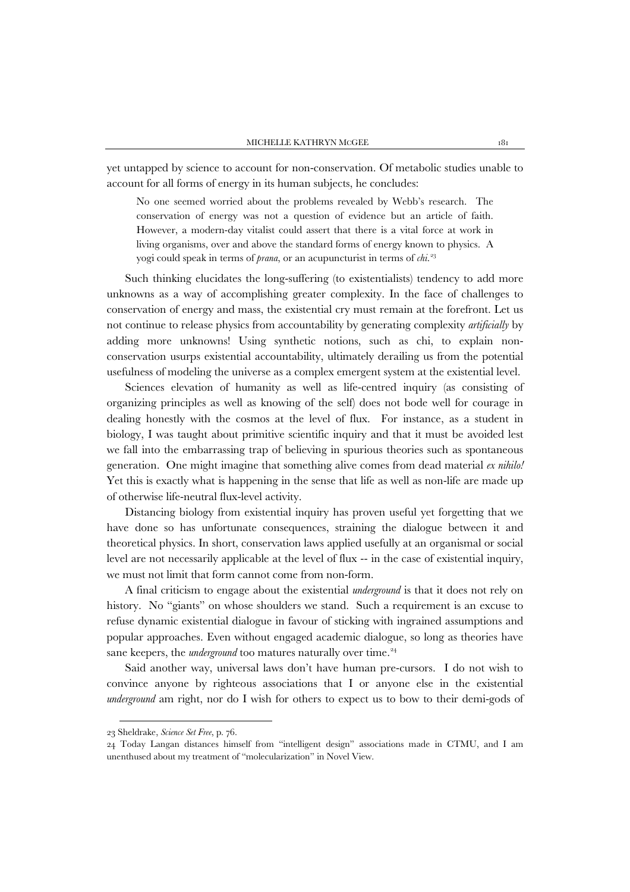yet untapped by science to account for non-conservation. Of metabolic studies unable to account for all forms of energy in its human subjects, he concludes:

No one seemed worried about the problems revealed by Webb's research. The conservation of energy was not a question of evidence but an article of faith. However, a modern-day vitalist could assert that there is a vital force at work in living organisms, over and above the standard forms of energy known to physics. A yogi could speak in terms of *prana*, or an acupuncturist in terms of *chi*. [23](#page-9-0) 

Such thinking elucidates the long-suffering (to existentialists) tendency to add more unknowns as a way of accomplishing greater complexity. In the face of challenges to conservation of energy and mass, the existential cry must remain at the forefront. Let us not continue to release physics from accountability by generating complexity *artificially* by adding more unknowns! Using synthetic notions, such as chi, to explain nonconservation usurps existential accountability, ultimately derailing us from the potential usefulness of modeling the universe as a complex emergent system at the existential level.

Sciences elevation of humanity as well as life-centred inquiry (as consisting of organizing principles as well as knowing of the self) does not bode well for courage in dealing honestly with the cosmos at the level of flux. For instance, as a student in biology, I was taught about primitive scientific inquiry and that it must be avoided lest we fall into the embarrassing trap of believing in spurious theories such as spontaneous generation. One might imagine that something alive comes from dead material *ex nihilo!*  Yet this is exactly what is happening in the sense that life as well as non-life are made up of otherwise life-neutral flux-level activity.

Distancing biology from existential inquiry has proven useful yet forgetting that we have done so has unfortunate consequences, straining the dialogue between it and theoretical physics. In short, conservation laws applied usefully at an organismal or social level are not necessarily applicable at the level of flux -- in the case of existential inquiry, we must not limit that form cannot come from non-form.

A final criticism to engage about the existential *underground* is that it does not rely on history. No "giants" on whose shoulders we stand. Such a requirement is an excuse to refuse dynamic existential dialogue in favour of sticking with ingrained assumptions and popular approaches. Even without engaged academic dialogue, so long as theories have sane keepers, the *underground* too matures naturally over time.<sup>[24](#page-9-1)</sup>

Said another way, universal laws don't have human pre-cursors. I do not wish to convince anyone by righteous associations that I or anyone else in the existential *underground* am right, nor do I wish for others to expect us to bow to their demi-gods of

j

<sup>23</sup> Sheldrake, *Science Set Free*, p. 76.

<span id="page-9-1"></span><span id="page-9-0"></span><sup>24</sup> Today Langan distances himself from "intelligent design" associations made in CTMU, and I am unenthused about my treatment of "molecularization" in Novel View.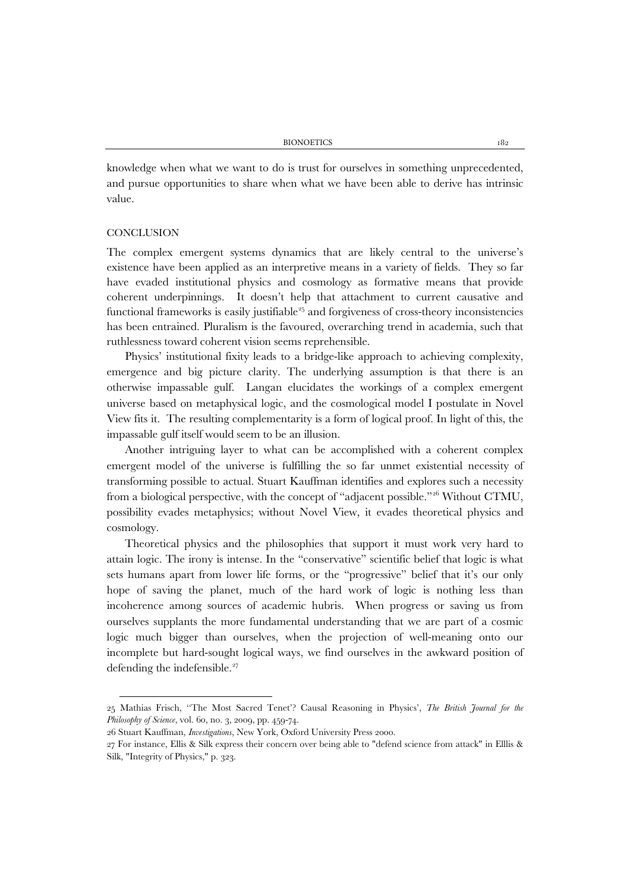knowledge when what we want to do is trust for ourselves in something unprecedented, and pursue opportunities to share when what we have been able to derive has intrinsic value.

### **CONCLUSION**

The complex emergent systems dynamics that are likely central to the universe's existence have been applied as an interpretive means in a variety of fields. They so far have evaded institutional physics and cosmology as formative means that provide coherent underpinnings. It doesn't help that attachment to current causative and functional frameworks is easily justifiable<sup> $25$ </sup> and forgiveness of cross-theory inconsistencies has been entrained. Pluralism is the favoured, overarching trend in academia, such that ruthlessness toward coherent vision seems reprehensible.

Physics' institutional fixity leads to a bridge-like approach to achieving complexity, emergence and big picture clarity. The underlying assumption is that there is an otherwise impassable gulf. Langan elucidates the workings of a complex emergent universe based on metaphysical logic, and the cosmological model I postulate in Novel View fits it. The resulting complementarity is a form of logical proof. In light of this, the impassable gulf itself would seem to be an illusion.

Another intriguing layer to what can be accomplished with a coherent complex emergent model of the universe is fulfilling the so far unmet existential necessity of transforming possible to actual. Stuart Kauffman identifies and explores such a necessity from a biological perspective, with the concept of "adjacent possible."[26](#page-10-1) Without CTMU, possibility evades metaphysics; without Novel View, it evades theoretical physics and cosmology.

Theoretical physics and the philosophies that support it must work very hard to attain logic. The irony is intense. In the "conservative" scientific belief that logic is what sets humans apart from lower life forms, or the "progressive" belief that it's our only hope of saving the planet, much of the hard work of logic is nothing less than incoherence among sources of academic hubris. When progress or saving us from ourselves supplants the more fundamental understanding that we are part of a cosmic logic much bigger than ourselves, when the projection of well-meaning onto our incomplete but hard-sought logical ways, we find ourselves in the awkward position of defending the indefensible.<sup>27</sup>

<span id="page-10-0"></span><sup>25</sup> Mathias Frisch, ''The Most Sacred Tenet'? Causal Reasoning in Physics', *The British Journal for the Philosophy of Science*, vol. 60, no. 3, 2009, pp. 459-74.

<span id="page-10-1"></span><sup>26</sup> Stuart Kauffman, *Investigations*, New York, Oxford University Press 2000.

<span id="page-10-2"></span><sup>27</sup> For instance, Ellis & Silk express their concern over being able to "defend science from attack" in Elllis & Silk, "Integrity of Physics," p. 323.